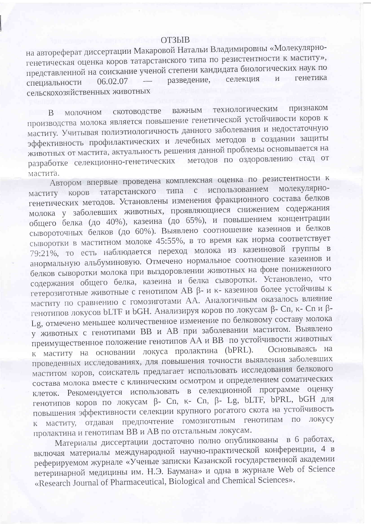## OT3bIB

на автореферат диссертации Макаровой Натальи Владимировны «Молекулярногенетическая оценка коров татарстанского типа по резистентности к маститу», представленной на соискание ученой степени кандидата биологических наук по - разведение, селекция  $W$ генетика специальности 06.02.07 сельскохозяйственных животных

важным технологическим признаком В молочном скотоводстве производства молока является повышение генетической устойчивости коров к маститу. Учитывая полиэтиологичность данного заболевания и недостаточную эффективность профилактических и лечебных методов в создании защиты животных от мастита, актуальность решения данной проблемы основывается на разработке селекционно-генетических методов по оздоровлению стад от мастита.

Автором впервые проведена комплексная оценка по резистентности к маститу коров татарстанского типа с использованием молекулярногенетических методов. Установлены изменения фракционного состава белков молока у заболевших животных, проявляющиеся снижением содержания общего белка (до 40%), казеина (до 65%), и повышением концентрации сывороточных белков (до 60%). Выявлено соотношение казеинов и белков сыворотки в маститном молоке 45:55%, в то время как норма соответствует 79:21%, то есть наблюдается переход молока из казеиновой группы в анормальную альбуминовую. Отмечено нормальное соотношение казеинов и белков сыворотки молока при выздоровлении животных на фоне пониженного содержания общего белка, казеина и белка сыворотки. Установлено, что гетерозиготные животные с генотипом АВ  $\beta$ - и к- казеинов более устойчивы к маститу по сравнению с гомозиготами АА. Аналогичным оказалось влияние генотипов локусов bLTF и bGH. Анализируя коров по локусам β- Cn, κ- Cn и β-Lg, отмечено меньшее количественное изменение по белковому составу молока у животных с генотипами ВВ и АВ при заболевании маститом. Выявлено преимущественное положение генотипов АА и ВВ по устойчивости животных к маститу на основании локуса пролактина (bPRL). Основываясь на проведенных исследованиях, для повышения точности выявления заболевших маститом коров, соискатель предлагает использовать исследования белкового состава молока вместе с клиническим осмотром и определением соматических клеток. Рекомендуется использовать в селекционной программе оценку генотипов коров по локусам β- Cn, κ- Cn, β- Lg, bLTF, bPRL, bGH для повышения эффективности селекции крупного рогатого скота на устойчивость маститу, отдавая предпочтение гомозиготным генотипам по локусу  $K_{-}$ пролактина и генотипам ВВ и АВ по отстальным локусам.

Материалы диссертации достаточно полно опубликованы в 6 работах, включая материалы международной научно-практической конференции, 4 в реферируемом журнале «Ученые записки Казанской государственной академии ветеринарной медицины им. Н.Э. Баумана» и одна в журнале Web of Science «Research Journal of Pharmaceutical, Biological and Chemical Sciences».